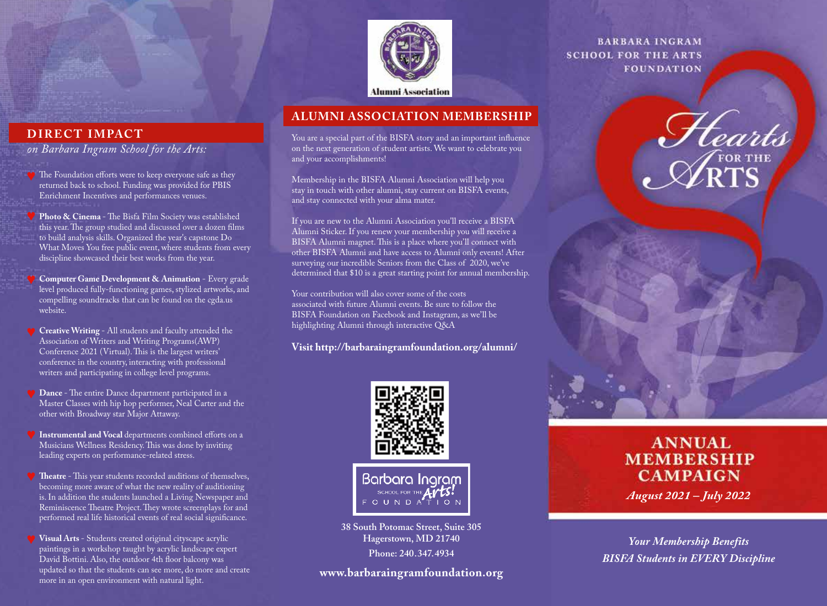

**Alumni Association** 

# **ALUMNI ASSOCIATION MEMBERSHIP**

You are a special part of the BISFA story and an important influence on the next generation of student artists. We want to celebrate you and your accomplishments!

Membership in the BISFA Alumni Association will help you stay in touch with other alumni, stay current on BISFA events, and stay connected with your alma mater.

If you are new to the Alumni Association you'll receive a BISFA Alumni Sticker. If you renew your membership you will receive a BISFA Alumni magnet. This is a place where you'll connect with other BISFA Alumni and have access to Alumni only events! After surveying our incredible Seniors from the Class of 2020, we've determined that \$10 is a great starting point for annual membership.

Your contribution will also cover some of the costs associated with future Alumni events. Be sure to follow the BISFA Foundation on Facebook and Instagram, as we'll be highlighting Alumni through interactive Q&A

**Visit http://barbaraingramfoundation.org/alumni/**



**38 South Potomac Street, Suite 305 Hagerstown, MD 21740 Phone: 240.347.4934**

# **www.barbaraingramfoundation.org**

**BARBARA INGRAM SCHOOL FOR THE ARTS FOUNDATION** 

Hearts

**ANNUAL MEMBERSHIP CAMPAIGN** *August 2021 – July 2022*

*Your Membership Benefits BISFA Students in EVERY Discipline*

# **DIRECT IMPACT**

*on Barbara Ingram School for the Arts:*

- The Foundation efforts were to keep everyone safe as they returned back to school. Funding was provided for PBIS Enrichment Incentives and performances venues.
- **Photo & Cinema** The Bisfa Film Society was established this year. The group studied and discussed over a dozen films to build analysis skills. Organized the year's capstone Do What Moves You free public event, where students from every discipline showcased their best works from the year.
- **Computer Game Development & Animation** Every grade level produced fully-functioning games, stylized artworks, and compelling soundtracks that can be found on the cgda.us website.
- **Creative Writing**  All students and faculty attended the Association of Writers and Writing Programs(AWP) Conference 2021 (Virtual). This is the largest writers' conference in the country, interacting with professional writers and participating in college level programs.
- **Dance** The entire Dance department participated in a Master Classes with hip hop performer, Neal Carter and the other with Broadway star Major Attaway.
- **Instrumental and Vocal** departments combined efforts on a Musicians Wellness Residency. This was done by inviting leading experts on performance-related stress.
- **Theatre** This year students recorded auditions of themselves, becoming more aware of what the new reality of auditioning is. In addition the students launched a Living Newspaper and Reminiscence Theatre Project. They wrote screenplays for and performed real life historical events of real social significance.
- **Visual Arts**  Students created original cityscape acrylic paintings in a workshop taught by acrylic landscape expert David Bottini. Also, the outdoor 4th floor balcony was updated so that the students can see more, do more and create more in an open environment with natural light.